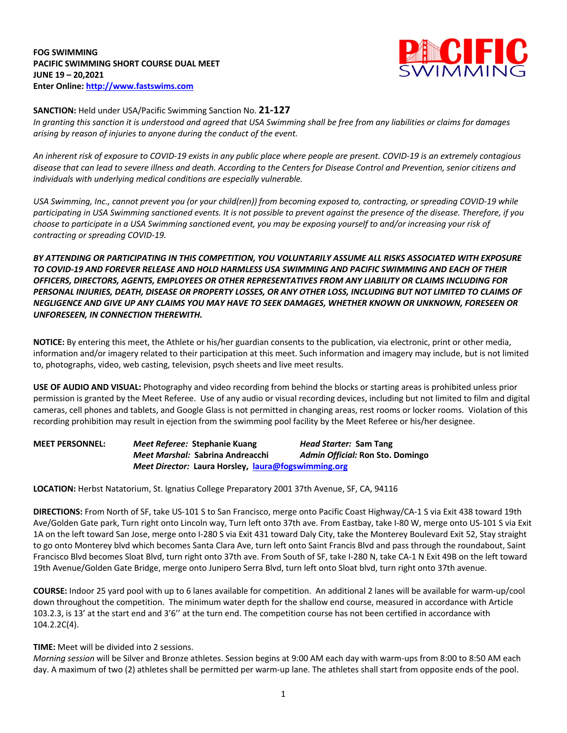**FOG SWIMMING PACIFIC SWIMMING SHORT COURSE DUAL MEET JUNE 19 – 20,2021 Enter Online: http://www.fastswims.com**



### **SANCTION:** Held under USA/Pacific Swimming Sanction No. **21-127**

In granting this sanction it is understood and agreed that USA Swimming shall be free from any liabilities or claims for damages *arising by reason of injuries to anyone during the conduct of the event.* 

An inherent risk of exposure to COVID-19 exists in any public place where people are present. COVID-19 is an extremely contagious disease that can lead to severe illness and death. According to the Centers for Disease Control and Prevention, senior citizens and *individuals with underlying medical conditions are especially vulnerable.*

USA Swimming, Inc., cannot prevent you (or your child(ren)) from becoming exposed to, contracting, or spreading COVID-19 while participating in USA Swimming sanctioned events. It is not possible to prevent against the presence of the disease. Therefore, if you choose to participate in a USA Swimming sanctioned event, you may be exposing yourself to and/or increasing your risk of *contracting or spreading COVID-19.*

*BY ATTENDING OR PARTICIPATING IN THIS COMPETITION, YOU VOLUNTARILY ASSUME ALL RISKS ASSOCIATED WITH EXPOSURE TO COVID-19 AND FOREVER RELEASE AND HOLD HARMLESS USA SWIMMING AND PACIFIC SWIMMING AND EACH OF THEIR OFFICERS, DIRECTORS, AGENTS, EMPLOYEES OR OTHER REPRESENTATIVES FROM ANY LIABILITY OR CLAIMS INCLUDING FOR* PERSONAL INJURIES, DEATH, DISEASE OR PROPERTY LOSSES, OR ANY OTHER LOSS, INCLUDING BUT NOT LIMITED TO CLAIMS OF NEGLIGENCE AND GIVE UP ANY CLAIMS YOU MAY HAVE TO SEEK DAMAGES, WHETHER KNOWN OR UNKNOWN, FORESEEN OR *UNFORESEEN, IN CONNECTION THEREWITH.*

**NOTICE:** By entering this meet, the Athlete or his/her guardian consents to the publication, via electronic, print or other media, information and/or imagery related to their participation at this meet. Such information and imagery may include, but is not limited to, photographs, video, web casting, television, psych sheets and live meet results.

**USE OF AUDIO AND VISUAL:** Photography and video recording from behind the blocks or starting areas is prohibited unless prior permission is granted by the Meet Referee. Use of any audio or visual recording devices, including but not limited to film and digital cameras, cell phones and tablets, and Google Glass is not permitted in changing areas, rest rooms or locker rooms. Violation of this recording prohibition may result in ejection from the swimming pool facility by the Meet Referee or his/her designee.

**MEET PERSONNEL:** *Meet Referee:* **Stephanie Kuang** *Head Starter:* **Sam Tang** *Meet Marshal:* **Sabrina Andreacchi** *Admin Official:* **Ron Sto. Domingo** *Meet Director:* **Laura Horsley, laura@fogswimming.org**

**LOCATION:** Herbst Natatorium, St. Ignatius College Preparatory 2001 37th Avenue, SF, CA, 94116

**DIRECTIONS:** From North of SF, take US-101 S to San Francisco, merge onto Pacific Coast Highway/CA-1 S via Exit 438 toward 19th Ave/Golden Gate park, Turn right onto Lincoln way, Turn left onto 37th ave. From Eastbay, take I-80 W, merge onto US-101 S via Exit 1A on the left toward San Jose, merge onto I-280 S via Exit 431 toward Daly City, take the Monterey Boulevard Exit 52, Stay straight to go onto Monterey blvd which becomes Santa Clara Ave, turn left onto Saint Francis Blvd and pass through the roundabout, Saint Francisco Blvd becomes Sloat Blvd, turn right onto 37th ave. From South of SF, take I-280 N, take CA-1 N Exit 49B on the left toward 19th Avenue/Golden Gate Bridge, merge onto Junipero Serra Blvd, turn left onto Sloat blvd, turn right onto 37th avenue.

**COURSE:** Indoor 25 yard pool with up to 6 lanes available for competition.An additional 2 lanes will be available for warm-up/cool down throughout the competition. The minimum water depth for the shallow end course, measured in accordance with Article 103.2.3, is 13' at the start end and 3'6'' at the turn end. The competition course has not been certified in accordance with 104.2.2C(4).

#### **TIME:** Meet will be divided into 2 sessions.

*Morning session* will be Silver and Bronze athletes. Session begins at 9:00 AM each day with warm-ups from 8:00 to 8:50 AM each day. A maximum of two (2) athletes shall be permitted per warm-up lane. The athletes shall start from opposite ends of the pool.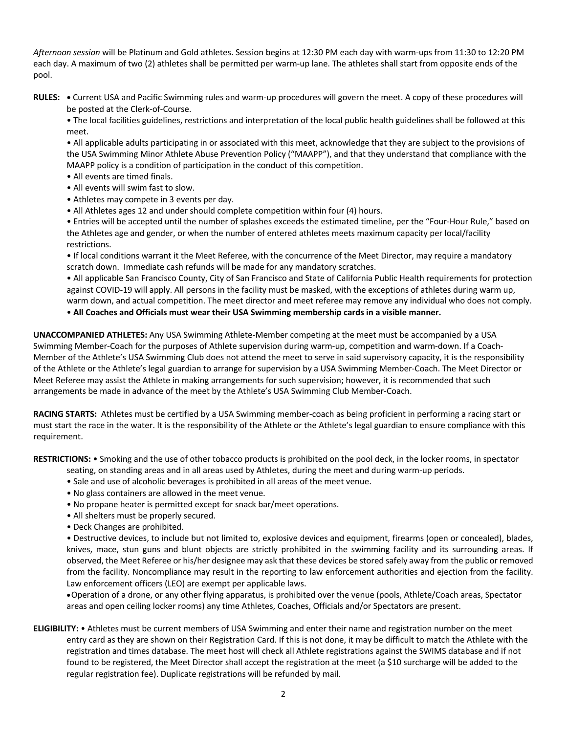*Afternoon session* will be Platinum and Gold athletes. Session begins at 12:30 PM each day with warm-ups from 11:30 to 12:20 PM each day. A maximum of two (2) athletes shall be permitted per warm-up lane. The athletes shall start from opposite ends of the pool.

**RULES: •** Current USA and Pacific Swimming rules and warm-up procedures will govern the meet. A copy of these procedures will be posted at the Clerk-of-Course.

• The local facilities guidelines, restrictions and interpretation of the local public health guidelines shall be followed at this meet.

• All applicable adults participating in or associated with this meet, acknowledge that they are subject to the provisions of the USA Swimming Minor Athlete Abuse Prevention Policy ("MAAPP"), and that they understand that compliance with the MAAPP policy is a condition of participation in the conduct of this competition.

- All events are timed finals.
- All events will swim fast to slow.
- Athletes may compete in 3 events per day.
- All Athletes ages 12 and under should complete competition within four (4) hours.

• Entries will be accepted until the number of splashes exceeds the estimated timeline, per the "Four-Hour Rule," based on the Athletes age and gender, or when the number of entered athletes meets maximum capacity per local/facility restrictions.

• If local conditions warrant it the Meet Referee, with the concurrence of the Meet Director, may require a mandatory scratch down. Immediate cash refunds will be made for any mandatory scratches.

• All applicable San Francisco County, City of San Francisco and State of California Public Health requirements for protection against COVID-19 will apply. All persons in the facility must be masked, with the exceptions of athletes during warm up, warm down, and actual competition. The meet director and meet referee may remove any individual who does not comply.

• **All Coaches and Officials must wear their USA Swimming membership cards in a visible manner.**

**UNACCOMPANIED ATHLETES:** Any USA Swimming Athlete-Member competing at the meet must be accompanied by a USA Swimming Member-Coach for the purposes of Athlete supervision during warm-up, competition and warm-down. If a Coach-Member of the Athlete's USA Swimming Club does not attend the meet to serve in said supervisory capacity, it is the responsibility of the Athlete or the Athlete's legal guardian to arrange for supervision by a USA Swimming Member-Coach. The Meet Director or Meet Referee may assist the Athlete in making arrangements for such supervision; however, it is recommended that such arrangements be made in advance of the meet by the Athlete's USA Swimming Club Member-Coach.

**RACING STARTS:** Athletes must be certified by a USA Swimming member-coach as being proficient in performing a racing start or must start the race in the water. It is the responsibility of the Athlete or the Athlete's legal guardian to ensure compliance with this requirement.

**RESTRICTIONS:** • Smoking and the use of other tobacco products is prohibited on the pool deck, in the locker rooms, in spectator

- seating, on standing areas and in all areas used by Athletes, during the meet and during warm-up periods.
- Sale and use of alcoholic beverages is prohibited in all areas of the meet venue.
- No glass containers are allowed in the meet venue.
- No propane heater is permitted except for snack bar/meet operations.
- All shelters must be properly secured.
- Deck Changes are prohibited.

• Destructive devices, to include but not limited to, explosive devices and equipment, firearms (open or concealed), blades, knives, mace, stun guns and blunt objects are strictly prohibited in the swimming facility and its surrounding areas. If observed, the Meet Referee or his/her designee may ask that these devices be stored safely away from the public or removed from the facility. Noncompliance may result in the reporting to law enforcement authorities and ejection from the facility. Law enforcement officers (LEO) are exempt per applicable laws.

•Operation of a drone, or any other flying apparatus, is prohibited over the venue (pools, Athlete/Coach areas, Spectator areas and open ceiling locker rooms) any time Athletes, Coaches, Officials and/or Spectators are present.

**ELIGIBILITY:** • Athletes must be current members of USA Swimming and enter their name and registration number on the meet entry card as they are shown on their Registration Card. If this is not done, it may be difficult to match the Athlete with the registration and times database. The meet host will check all Athlete registrations against the SWIMS database and if not found to be registered, the Meet Director shall accept the registration at the meet (a \$10 surcharge will be added to the regular registration fee). Duplicate registrations will be refunded by mail.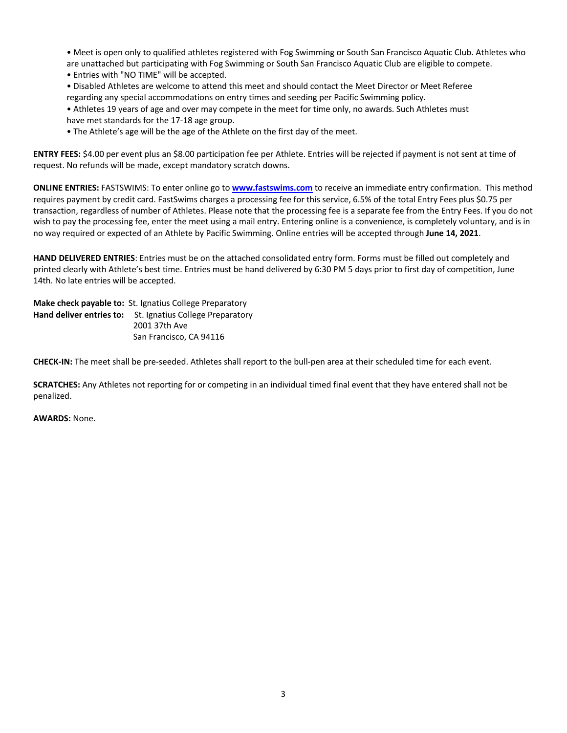• Meet is open only to qualified athletes registered with Fog Swimming or South San Francisco Aquatic Club. Athletes who are unattached but participating with Fog Swimming or South San Francisco Aquatic Club are eligible to compete.

• Entries with "NO TIME" will be accepted.

• Disabled Athletes are welcome to attend this meet and should contact the Meet Director or Meet Referee regarding any special accommodations on entry times and seeding per Pacific Swimming policy.

- Athletes 19 years of age and over may compete in the meet for time only, no awards. Such Athletes must have met standards for the 17-18 age group.
- The Athlete's age will be the age of the Athlete on the first day of the meet.

**ENTRY FEES:** \$4.00 per event plus an \$8.00 participation fee per Athlete. Entries will be rejected if payment is not sent at time of request. No refunds will be made, except mandatory scratch downs.

**ONLINE ENTRIES:** FASTSWIMS: To enter online go to **www.fastswims.com** to receive an immediate entry confirmation. This method requires payment by credit card. FastSwims charges a processing fee for this service, 6.5% of the total Entry Fees plus \$0.75 per transaction, regardless of number of Athletes. Please note that the processing fee is a separate fee from the Entry Fees. If you do not wish to pay the processing fee, enter the meet using a mail entry. Entering online is a convenience, is completely voluntary, and is in no way required or expected of an Athlete by Pacific Swimming. Online entries will be accepted through **June 14, 2021**.

**HAND DELIVERED ENTRIES**: Entries must be on the attached consolidated entry form. Forms must be filled out completely and printed clearly with Athlete's best time. Entries must be hand delivered by 6:30 PM 5 days prior to first day of competition, June 14th. No late entries will be accepted.

**Make check payable to:** St. Ignatius College Preparatory **Hand deliver entries to:** St. Ignatius College Preparatory 2001 37th Ave San Francisco, CA 94116

**CHECK-IN:** The meet shall be pre-seeded. Athletes shall report to the bull-pen area at their scheduled time for each event.

**SCRATCHES:** Any Athletes not reporting for or competing in an individual timed final event that they have entered shall not be penalized.

**AWARDS:** None.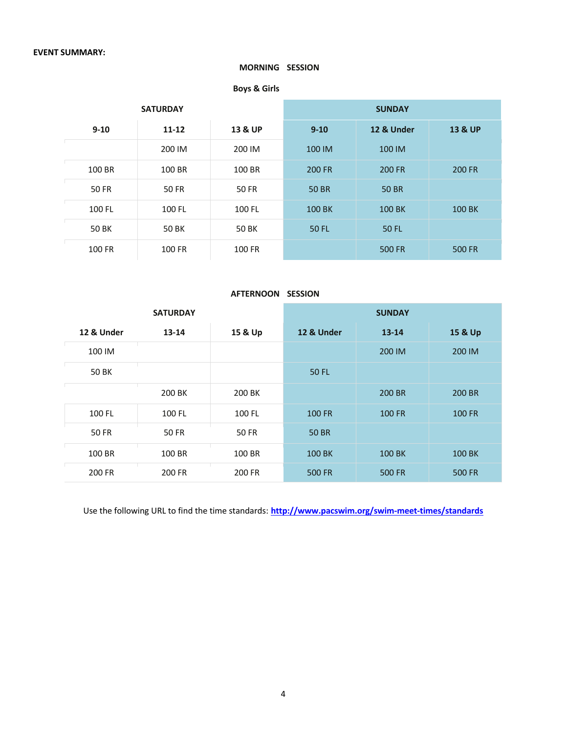### **MORNING SESSION**

**Boys & Girls**

|          | <b>SATURDAY</b>      |        | <b>SUNDAY</b> |               |                    |  |
|----------|----------------------|--------|---------------|---------------|--------------------|--|
| $9 - 10$ | 13 & UP<br>$11 - 12$ |        | $9 - 10$      | 12 & Under    | <b>13 &amp; UP</b> |  |
|          | 200 IM               | 200 IM | 100 IM        | 100 IM        |                    |  |
| 100 BR   | 100 BR               | 100 BR | <b>200 FR</b> | <b>200 FR</b> | <b>200 FR</b>      |  |
| 50 FR    | 50 FR                | 50 FR  | <b>50 BR</b>  | <b>50 BR</b>  |                    |  |
| 100 FL   | 100 FL               | 100 FL | 100 BK        | <b>100 BK</b> | 100 BK             |  |
| 50 BK    | 50 BK                | 50 BK  | <b>50 FL</b>  | <b>50 FL</b>  |                    |  |
| 100 FR   | 100 FR               | 100 FR |               | <b>500 FR</b> | <b>500 FR</b>      |  |

#### **AFTERNOON SESSION**

|              | <b>SATURDAY</b>      |        | <b>SUNDAY</b> |               |               |  |
|--------------|----------------------|--------|---------------|---------------|---------------|--|
| 12 & Under   | $13 - 14$<br>15 & Up |        | 12 & Under    | $13 - 14$     | 15 & Up       |  |
| 100 IM       |                      |        |               | 200 IM        | 200 IM        |  |
| 50 BK        |                      |        | <b>50 FL</b>  |               |               |  |
|              | 200 BK               | 200 BK |               | 200 BR        | 200 BR        |  |
| 100 FL       | 100 FL               | 100 FL | <b>100 FR</b> | <b>100 FR</b> | <b>100 FR</b> |  |
| <b>50 FR</b> | 50 FR                | 50 FR  | <b>50 BR</b>  |               |               |  |
| 100 BR       | 100 BR               | 100 BR | 100 BK        | 100 BK        | <b>100 BK</b> |  |
| 200 FR       | 200 FR               | 200 FR | <b>500 FR</b> | <b>500 FR</b> | <b>500 FR</b> |  |

Use the following URL to find the time standards: **http://www.pacswim.org/swim-meet-times/standards**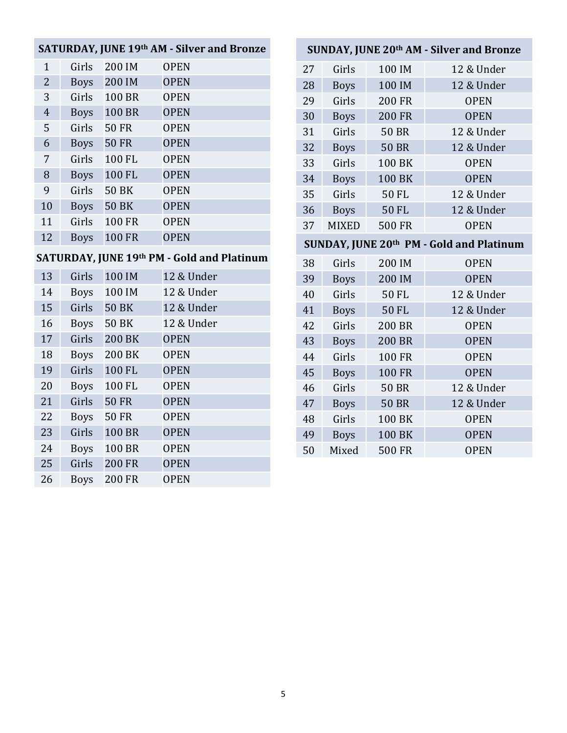### **SATURDAY, JUNE 19th AM - Silver and Bronze**

| $\mathbf{1}$   | Girls       | 200 IM        | <b>OPEN</b> |
|----------------|-------------|---------------|-------------|
| $\overline{2}$ | <b>Boys</b> | 200 IM        | <b>OPEN</b> |
| 3              | Girls       | <b>100 BR</b> | <b>OPEN</b> |
| $\overline{4}$ | <b>Boys</b> | <b>100 BR</b> | <b>OPEN</b> |
| 5              | Girls       | <b>50 FR</b>  | <b>OPEN</b> |
| 6              | <b>Boys</b> | <b>50 FR</b>  | <b>OPEN</b> |
| 7              | Girls       | 100 FL        | <b>OPEN</b> |
| 8              | <b>Boys</b> | 100 FL        | <b>OPEN</b> |
| 9              | Girls       | <b>50 BK</b>  | <b>OPEN</b> |
| 10             | <b>Boys</b> | <b>50 BK</b>  | <b>OPEN</b> |
| 11             | Girls       | <b>100 FR</b> | <b>OPEN</b> |
| 12             | <b>Boys</b> | <b>100 FR</b> | <b>OPEN</b> |

## **SATURDAY, JUNE 19th PM - Gold and Platinum**

| 13 | Girls       | 100 IM        | 12 & Under  |  |
|----|-------------|---------------|-------------|--|
| 14 | <b>Boys</b> | 100 IM        | 12 & Under  |  |
| 15 | Girls       | <b>50 BK</b>  | 12 & Under  |  |
| 16 | <b>Boys</b> | <b>50 BK</b>  | 12 & Under  |  |
| 17 | Girls       | <b>200 BK</b> | <b>OPEN</b> |  |
| 18 | <b>Boys</b> | 200 BK        | <b>OPEN</b> |  |
| 19 | Girls       | 100 FL        | <b>OPEN</b> |  |
| 20 | <b>Boys</b> | 100 FL        | <b>OPEN</b> |  |
| 21 | Girls       | <b>50 FR</b>  | <b>OPEN</b> |  |
| 22 | <b>Boys</b> | <b>50 FR</b>  | <b>OPEN</b> |  |
| 23 | Girls       | <b>100 BR</b> | <b>OPEN</b> |  |
| 24 | <b>Boys</b> | 100 BR        | <b>OPEN</b> |  |
| 25 | Girls       | <b>200 FR</b> | <b>OPEN</b> |  |
| 26 | <b>Boys</b> | <b>200 FR</b> | <b>OPEN</b> |  |

# **SUNDAY, JUNE 20th AM - Silver and Bronze**

| 27 | Girls        | 100 IM        | 12 & Under  |
|----|--------------|---------------|-------------|
| 28 | <b>Boys</b>  | 100 IM        | 12 & Under  |
| 29 | Girls        | <b>200 FR</b> | <b>OPEN</b> |
| 30 | <b>Boys</b>  | <b>200 FR</b> | <b>OPEN</b> |
| 31 | Girls        | <b>50 BR</b>  | 12 & Under  |
| 32 | <b>Boys</b>  | <b>50 BR</b>  | 12 & Under  |
| 33 | Girls        | 100 BK        | <b>OPEN</b> |
| 34 | <b>Boys</b>  | 100 BK        | <b>OPEN</b> |
| 35 | Girls        | 50 FL         | 12 & Under  |
| 36 | <b>Boys</b>  | <b>50 FL</b>  | 12 & Under  |
| 37 | <b>MIXED</b> | <b>500 FR</b> | <b>OPEN</b> |
|    |              |               |             |

### **SUNDAY, JUNE 20th PM - Gold and Platinum**

| 38 | Girls       | 200 IM        | <b>OPEN</b> |
|----|-------------|---------------|-------------|
| 39 | <b>Boys</b> | 200 IM        | <b>OPEN</b> |
| 40 | Girls       | <b>50 FL</b>  | 12 & Under  |
| 41 | <b>Boys</b> | <b>50 FL</b>  | 12 & Under  |
| 42 | Girls       | <b>200 BR</b> | <b>OPEN</b> |
| 43 | <b>Boys</b> | <b>200 BR</b> | <b>OPEN</b> |
| 44 | Girls       | <b>100 FR</b> | <b>OPEN</b> |
| 45 | <b>Boys</b> | <b>100 FR</b> | <b>OPEN</b> |
| 46 | Girls       | <b>50 BR</b>  | 12 & Under  |
| 47 | <b>Boys</b> | <b>50 BR</b>  | 12 & Under  |
| 48 | Girls       | <b>100 BK</b> | <b>OPEN</b> |
| 49 | <b>Boys</b> | 100 BK        | <b>OPEN</b> |
| 50 | Mixed       | <b>500 FR</b> | <b>OPEN</b> |
|    |             |               |             |